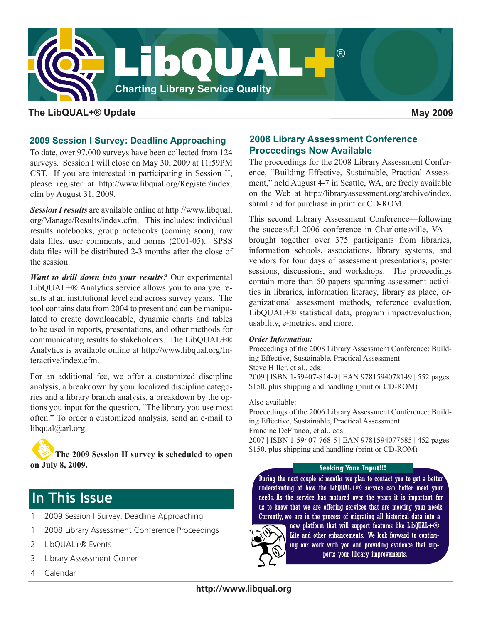

### **The LibQUAL+® Update May 2009**

### **2009 Session I Survey: Deadline Approaching**

To date, over 97,000 surveys have been collected from 124 surveys. Session I will close on May 30, 2009 at 11:59PM CST. If you are interested in participating in Session II, please register at [http://www.libqual.org/Register/index.](http://old.libqual.org/Register/index.cfm) [cfm](http://old.libqual.org/Register/index.cfm) by August 31, 2009.

*Session I results* are available online at [http://www.libqual.](http://old.libqual.org/Manage/Results/index.cfm) [org/Manage/Results/index.cfm](http://old.libqual.org/Manage/Results/index.cfm). This includes: individual results notebooks, group notebooks (coming soon), raw data files, user comments, and norms (2001-05). SPSS data files will be distributed 2-3 months after the close of the session.

*Want to drill down into your results?* Our experimental LibQUAL+® Analytics service allows you to analyze results at an institutional level and across survey years. The tool contains data from 2004 to present and can be manipulated to create downloadable, dynamic charts and tables to be used in reports, presentations, and other methods for communicating results to stakeholders. The LibQUAL+® Analytics is available online at [http://www.libqual.org/In](http://old.libqual.org/Interactive/index.cfm)[teractive/index.cfm.](http://old.libqual.org/Interactive/index.cfm)

For an additional fee, we offer a customized discipline analysis, a breakdown by your localized discipline categories and a library branch analysis, a breakdown by the options you input for the question, "The library you use most often." To order a customized analysis, send an e-mail to [libqual@arl.org.](mailto:libqual@arl.org)

**The 2009 Session II survey is scheduled to open on July 8, 2009.**

# **In This Issue**

- 1 2009 Session I Survey: Deadline Approaching
- 1 2008 Library Assessment Conference Proceedings
- 2 LibQUAL+® Events
- 3 Library Assessment Corner
- 4 Calendar

### **2008 Library Assessment Conference Proceedings Now Available**

The proceedings for the 2008 Library Assessment Conference, "Building Effective, Sustainable, Practical Assessment," held August 4-7 in Seattle, WA, are freely available on the Web at [http://libraryassessment.org/archive/index.](http://libraryassessment.org/archive/index.shtml) [shtml](http://libraryassessment.org/archive/index.shtml) and for purchase in print or CD-ROM.

This second Library Assessment Conference—following the successful 2006 conference in Charlottesville, VA brought together over 375 participants from libraries, information schools, associations, library systems, and vendors for four days of assessment presentations, poster sessions, discussions, and workshops. The proceedings contain more than 60 papers spanning assessment activities in libraries, information literacy, library as place, organizational assessment methods, reference evaluation, LibQUAL+® statistical data, program impact/evaluation, usability, e-metrics, and more.

### *Order Information:*

Proceedings of the 2008 Library Assessment Conference: Building Effective, Sustainable, Practical Assessment Steve Hiller, et al., eds. 2009 | ISBN 1-59407-814-9 | EAN 9781594078149 | 552 pages \$150, plus shipping and handling (print or CD-ROM)

Also available:

Proceedings of the 2006 Library Assessment Conference: Building Effective, Sustainable, Practical Assessment Francine DeFranco, et al., eds. 2007 | ISBN 1-59407-768-5 | EAN 9781594077685 | 452 pages \$150, plus shipping and handling (print or CD-ROM)

#### **Seeking Your Input!!!**

During the next couple of months we plan to contact you to get a better understanding of how the LibQUAL+ $\odot$  service can better meet your needs. As the service has matured over the years it is important for us to know that we are offering services that are meeting your needs. Currently, we are in the process of migrating all historical data into a



new platform that will support features like LibQUAL+ $\circledR$ Lite and other enhancements. We look forward to continuing our work with you and providing evidence that supports your library improvements.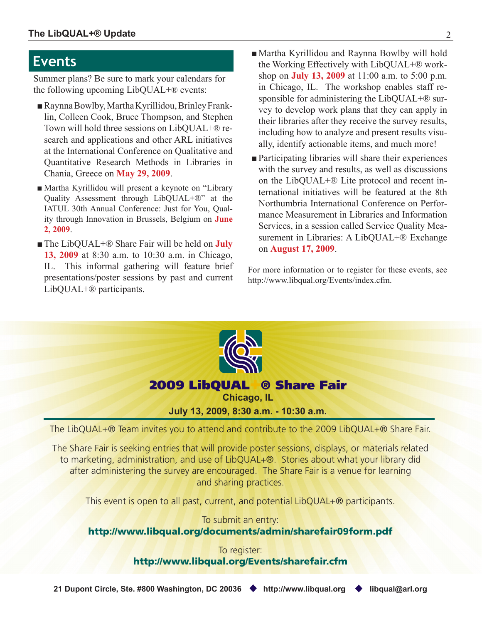# **Events**

Summer plans? Be sure to mark your calendars for the following upcoming LibQUAL+® events:

- ■Raynna Bowlby, Martha Kyrillidou, Brinley Franklin, Colleen Cook, Bruce Thompson, and Stephen Town will hold three sessions on LibQUAL+® research and applications and other ARL initiatives at the International Conference on Qualitative and Quantitative Research Methods in Libraries in Chania, Greece on **May 29, 2009**.
- Martha Kyrillidou will present a keynote on "Library Quality Assessment through LibQUAL+®" at the IATUL 30th Annual Conference: Just for You, Quality through Innovation in Brussels, Belgium on **June 2, 2009**.
- The LibQUAL+<sup>®</sup> Share Fair will be held on **July 13, 2009** at 8:30 a.m. to 10:30 a.m. in Chicago, IL. This informal gathering will feature brief presentations/poster sessions by past and current LibQUAL+® participants.
- Martha Kyrillidou and Raynna Bowlby will hold the Working Effectively with LibQUAL+® workshop on **July 13, 2009** at 11:00 a.m. to 5:00 p.m. in Chicago, IL. The workshop enables staff responsible for administering the LibQUAL+<sup>®</sup> survey to develop work plans that they can apply in their libraries after they receive the survey results, including how to analyze and present results visually, identify actionable items, and much more!
- Participating libraries will share their experiences with the survey and results, as well as discussions on the LibQUAL+® Lite protocol and recent international initiatives will be featured at the 8th Northumbria International Conference on Performance Measurement in Libraries and Information Services, in a session called Service Quality Measurement in Libraries: A LibQUAL+® Exchange on **August 17, 2009**.

For more information or to register for these events, see [http://www.libqual.org/Events/index.cfm](http://old.libqual.org/Events/index.cfm).



This event is open to all past, current, and potential LibQUAL+<sup>®</sup> participants.

To submit an entry: [http://www.libqual.org/documents/admin/sharefair09form.pdf](http://old.libqual.org/documents/admin/sharefair09form.pdf)

> To register: [http://www.libqual.org/Events/sharefair.cfm](http://old.libqual.org/Events/sharefair.cfm)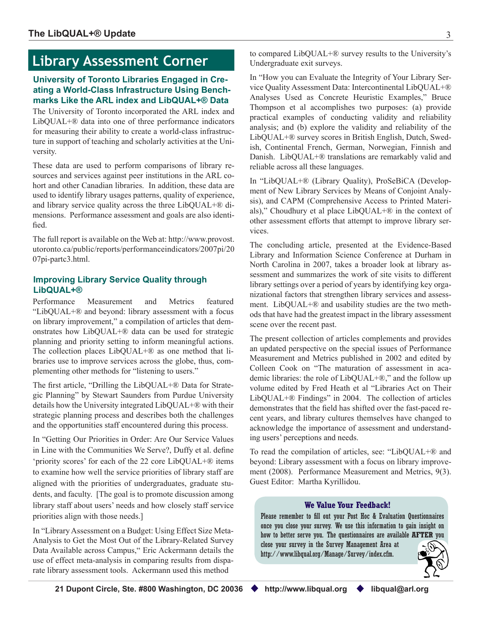# **Library Assessment Corner**

### **University of Toronto Libraries Engaged in Creating a World-Class Infrastructure Using Benchmarks Like the ARL index and LibQUAL+® Data**

The University of Toronto incorporated the ARL index and LibQUAL+® data into one of three performance indicators for measuring their ability to create a world-class infrastructure in support of teaching and scholarly activities at the University.

These data are used to perform comparisons of library resources and services against peer institutions in the ARL cohort and other Canadian libraries. In addition, these data are used to identify library usages patterns, quality of experience, and library service quality across the three LibQUAL+® dimensions. Performance assessment and goals are also identified.

The full report is available on the Web at: [http://www.provost.](http://www.provost.utoronto.ca/public/reports/performanceindicators/2007pi/2007pi-partc3.html) [utoronto.ca/public/reports/performanceindicators/2007pi/20](http://www.provost.utoronto.ca/public/reports/performanceindicators/2007pi/2007pi-partc3.html) [07pi-partc3.htm](http://www.provost.utoronto.ca/public/reports/performanceindicators/2007pi/2007pi-partc3.html)l.

### **Improving Library Service Quality through LibQUAL+®**

Performance Measurement and Metrics featured "LibQUAL+® and beyond: library assessment with a focus on library improvement," a compilation of articles that demonstrates how LibQUAL+® data can be used for strategic planning and priority setting to inform meaningful actions. The collection places LibQUAL+® as one method that libraries use to improve services across the globe, thus, complementing other methods for "listening to users."

The first article, "Drilling the LibQUAL+® Data for Strategic Planning" by Stewart Saunders from Purdue University details how the University integrated LibQUAL+® with their strategic planning process and describes both the challenges and the opportunities staff encountered during this process.

In "Getting Our Priorities in Order: Are Our Service Values in Line with the Communities We Serve?, Duffy et al. define 'priority scores' for each of the 22 core LibQUAL+® items to examine how well the service priorities of library staff are aligned with the priorities of undergraduates, graduate students, and faculty. [The goal is to promote discussion among library staff about users' needs and how closely staff service priorities align with those needs.]

In "Library Assessment on a Budget: Using Effect Size Meta-Analysis to Get the Most Out of the Library-Related Survey Data Available across Campus," Eric Ackermann details the use of effect meta-analysis in comparing results from disparate library assessment tools. Ackermann used this method

to compared LibQUAL+® survey results to the University's Undergraduate exit surveys.

In "How you can Evaluate the Integrity of Your Library Service Quality Assessment Data: Intercontinental LibQUAL+® Analyses Used as Concrete Heuristic Examples," Bruce Thompson et al accomplishes two purposes: (a) provide practical examples of conducting validity and reliability analysis; and (b) explore the validity and reliability of the LibQUAL+® survey scores in British English, Dutch, Swedish, Continental French, German, Norwegian, Finnish and Danish. LibQUAL+® translations are remarkably valid and reliable across all these languages.

In "LibQUAL+® (Library Quality), ProSeBiCA (Development of New Library Services by Means of Conjoint Analysis), and CAPM (Comprehensive Access to Printed Materials)," Choudhury et al place LibQUAL+® in the context of other assessment efforts that attempt to improve library services.

The concluding article, presented at the Evidence-Based Library and Information Science Conference at Durham in North Carolina in 2007, takes a broader look at library assessment and summarizes the work of site visits to different library settings over a period of years by identifying key organizational factors that strengthen library services and assessment. LibQUAL+® and usability studies are the two methods that have had the greatest impact in the library assessment scene over the recent past.

The present collection of articles complements and provides an updated perspective on the special issues of Performance Measurement and Metrics published in 2002 and edited by Colleen Cook on "The maturation of assessment in academic libraries: the role of LibQUAL+®," and the follow up volume edited by Fred Heath et al "Libraries Act on Their LibQUAL+® Findings" in 2004. The collection of articles demonstrates that the field has shifted over the fast-paced recent years, and library cultures themselves have changed to acknowledge the importance of assessment and understanding users' perceptions and needs.

To read the compilation of articles, see: "LibQUAL+® and beyond: Library assessment with a focus on library improvement (2008). Performance Measurement and Metrics, 9(3). Guest Editor: Martha Kyrillidou.

#### **We Value Your Feedback!**

Please remember to fill out your Post Hoc & Evaluation Questionnaires once you close your survey. We use this information to gain insight on how to better serve you. The questionnaires are available **AFTER** you close your survey in the Survey Management Area at [http://www.libqual.org/Manage/Survey/index.cfm.](http://old.libqual.org/Manage/Survey/index.cfm)